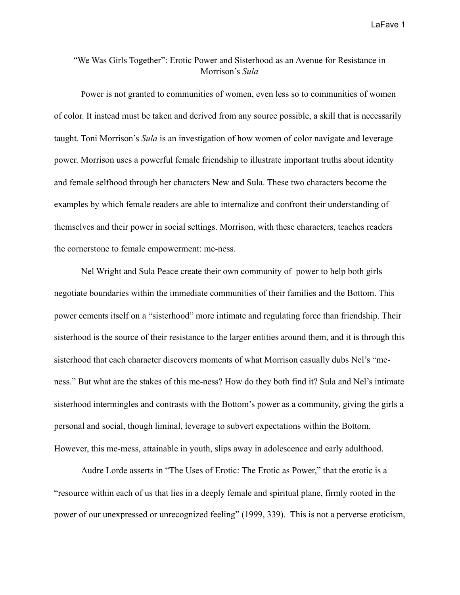## "We Was Girls Together": Erotic Power and Sisterhood as an Avenue for Resistance in Morrison's *Sula*

 Power is not granted to communities of women, even less so to communities of women of color. It instead must be taken and derived from any source possible, a skill that is necessarily taught. Toni Morrison's *Sula* is an investigation of how women of color navigate and leverage power. Morrison uses a powerful female friendship to illustrate important truths about identity and female selfhood through her characters New and Sula. These two characters become the examples by which female readers are able to internalize and confront their understanding of themselves and their power in social settings. Morrison, with these characters, teaches readers the cornerstone to female empowerment: me-ness.

 Nel Wright and Sula Peace create their own community of power to help both girls negotiate boundaries within the immediate communities of their families and the Bottom. This power cements itself on a "sisterhood" more intimate and regulating force than friendship. Their sisterhood is the source of their resistance to the larger entities around them, and it is through this sisterhood that each character discovers moments of what Morrison casually dubs Nel's "meness." But what are the stakes of this me-ness? How do they both find it? Sula and Nel's intimate sisterhood intermingles and contrasts with the Bottom's power as a community, giving the girls a personal and social, though liminal, leverage to subvert expectations within the Bottom. However, this me-mess, attainable in youth, slips away in adolescence and early adulthood.

Audre Lorde asserts in "The Uses of Erotic: The Erotic as Power," that the erotic is a "resource within each of us that lies in a deeply female and spiritual plane, firmly rooted in the power of our unexpressed or unrecognized feeling" (1999, 339). This is not a perverse eroticism,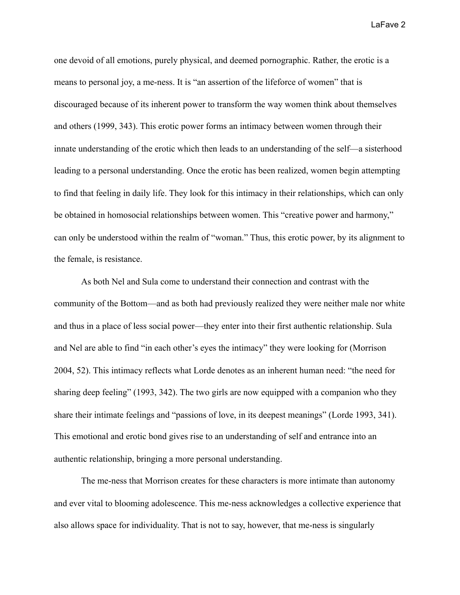one devoid of all emotions, purely physical, and deemed pornographic. Rather, the erotic is a means to personal joy, a me-ness. It is "an assertion of the lifeforce of women" that is discouraged because of its inherent power to transform the way women think about themselves and others (1999, 343). This erotic power forms an intimacy between women through their innate understanding of the erotic which then leads to an understanding of the self—a sisterhood leading to a personal understanding. Once the erotic has been realized, women begin attempting to find that feeling in daily life. They look for this intimacy in their relationships, which can only be obtained in homosocial relationships between women. This "creative power and harmony," can only be understood within the realm of "woman." Thus, this erotic power, by its alignment to the female, is resistance.

As both Nel and Sula come to understand their connection and contrast with the community of the Bottom—and as both had previously realized they were neither male nor white and thus in a place of less social power—they enter into their first authentic relationship. Sula and Nel are able to find "in each other's eyes the intimacy" they were looking for (Morrison 2004, 52). This intimacy reflects what Lorde denotes as an inherent human need: "the need for sharing deep feeling" (1993, 342). The two girls are now equipped with a companion who they share their intimate feelings and "passions of love, in its deepest meanings" (Lorde 1993, 341). This emotional and erotic bond gives rise to an understanding of self and entrance into an authentic relationship, bringing a more personal understanding.

The me-ness that Morrison creates for these characters is more intimate than autonomy and ever vital to blooming adolescence. This me-ness acknowledges a collective experience that also allows space for individuality. That is not to say, however, that me-ness is singularly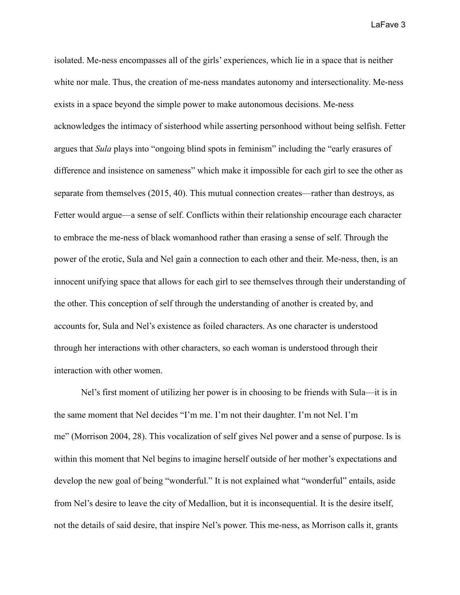isolated. Me-ness encompasses all of the girls' experiences, which lie in a space that is neither white nor male. Thus, the creation of me-ness mandates autonomy and intersectionality. Me-ness exists in a space beyond the simple power to make autonomous decisions. Me-ness acknowledges the intimacy of sisterhood while asserting personhood without being selfish. Fetter argues that *Sula* plays into "ongoing blind spots in feminism" including the "early erasures of difference and insistence on sameness" which make it impossible for each girl to see the other as separate from themselves (2015, 40). This mutual connection creates—rather than destroys, as Fetter would argue—a sense of self. Conflicts within their relationship encourage each character to embrace the me-ness of black womanhood rather than erasing a sense of self. Through the power of the erotic, Sula and Nel gain a connection to each other and their. Me-ness, then, is an innocent unifying space that allows for each girl to see themselves through their understanding of the other. This conception of self through the understanding of another is created by, and accounts for, Sula and Nel's existence as foiled characters. As one character is understood through her interactions with other characters, so each woman is understood through their interaction with other women.

Nel's first moment of utilizing her power is in choosing to be friends with Sula—it is in the same moment that Nel decides "I'm me. I'm not their daughter. I'm not Nel. I'm me" (Morrison 2004, 28). This vocalization of self gives Nel power and a sense of purpose. Is is within this moment that Nel begins to imagine herself outside of her mother's expectations and develop the new goal of being "wonderful." It is not explained what "wonderful" entails, aside from Nel's desire to leave the city of Medallion, but it is inconsequential. It is the desire itself, not the details of said desire, that inspire Nel's power. This me-ness, as Morrison calls it, grants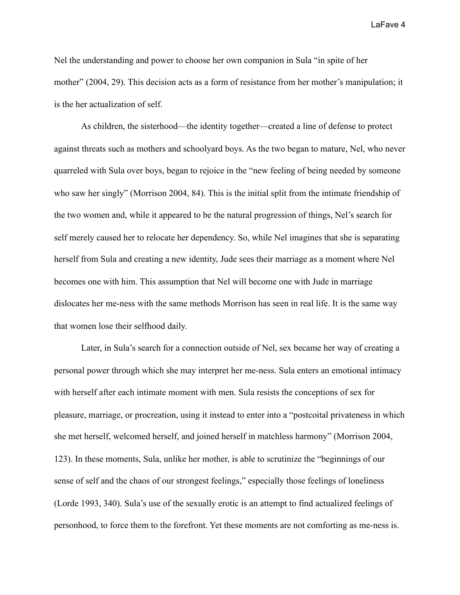Nel the understanding and power to choose her own companion in Sula "in spite of her mother" (2004, 29). This decision acts as a form of resistance from her mother's manipulation; it is the her actualization of self.

As children, the sisterhood—the identity together—created a line of defense to protect against threats such as mothers and schoolyard boys. As the two began to mature, Nel, who never quarreled with Sula over boys, began to rejoice in the "new feeling of being needed by someone who saw her singly" (Morrison 2004, 84). This is the initial split from the intimate friendship of the two women and, while it appeared to be the natural progression of things, Nel's search for self merely caused her to relocate her dependency. So, while Nel imagines that she is separating herself from Sula and creating a new identity, Jude sees their marriage as a moment where Nel becomes one with him. This assumption that Nel will become one with Jude in marriage dislocates her me-ness with the same methods Morrison has seen in real life. It is the same way that women lose their selfhood daily.

Later, in Sula's search for a connection outside of Nel, sex became her way of creating a personal power through which she may interpret her me-ness. Sula enters an emotional intimacy with herself after each intimate moment with men. Sula resists the conceptions of sex for pleasure, marriage, or procreation, using it instead to enter into a "postcoital privateness in which she met herself, welcomed herself, and joined herself in matchless harmony" (Morrison 2004, 123). In these moments, Sula, unlike her mother, is able to scrutinize the "beginnings of our sense of self and the chaos of our strongest feelings," especially those feelings of loneliness (Lorde 1993, 340). Sula's use of the sexually erotic is an attempt to find actualized feelings of personhood, to force them to the forefront. Yet these moments are not comforting as me-ness is.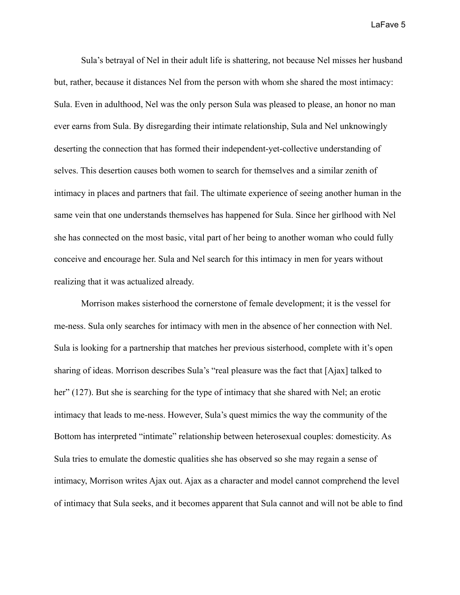Sula's betrayal of Nel in their adult life is shattering, not because Nel misses her husband but, rather, because it distances Nel from the person with whom she shared the most intimacy: Sula. Even in adulthood, Nel was the only person Sula was pleased to please, an honor no man ever earns from Sula. By disregarding their intimate relationship, Sula and Nel unknowingly deserting the connection that has formed their independent-yet-collective understanding of selves. This desertion causes both women to search for themselves and a similar zenith of intimacy in places and partners that fail. The ultimate experience of seeing another human in the same vein that one understands themselves has happened for Sula. Since her girlhood with Nel she has connected on the most basic, vital part of her being to another woman who could fully conceive and encourage her. Sula and Nel search for this intimacy in men for years without realizing that it was actualized already.

Morrison makes sisterhood the cornerstone of female development; it is the vessel for me-ness. Sula only searches for intimacy with men in the absence of her connection with Nel. Sula is looking for a partnership that matches her previous sisterhood, complete with it's open sharing of ideas. Morrison describes Sula's "real pleasure was the fact that [Ajax] talked to her" (127). But she is searching for the type of intimacy that she shared with Nel; an erotic intimacy that leads to me-ness. However, Sula's quest mimics the way the community of the Bottom has interpreted "intimate" relationship between heterosexual couples: domesticity. As Sula tries to emulate the domestic qualities she has observed so she may regain a sense of intimacy, Morrison writes Ajax out. Ajax as a character and model cannot comprehend the level of intimacy that Sula seeks, and it becomes apparent that Sula cannot and will not be able to find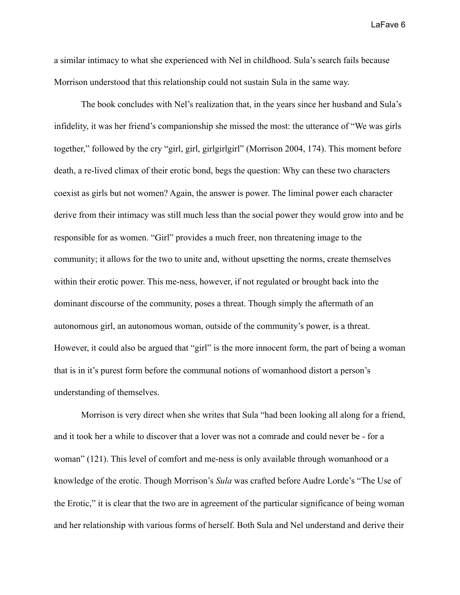a similar intimacy to what she experienced with Nel in childhood. Sula's search fails because Morrison understood that this relationship could not sustain Sula in the same way.

The book concludes with Nel's realization that, in the years since her husband and Sula's infidelity, it was her friend's companionship she missed the most: the utterance of "We was girls together," followed by the cry "girl, girl, girlgirlgirl" (Morrison 2004, 174). This moment before death, a re-lived climax of their erotic bond, begs the question: Why can these two characters coexist as girls but not women? Again, the answer is power. The liminal power each character derive from their intimacy was still much less than the social power they would grow into and be responsible for as women. "Girl" provides a much freer, non threatening image to the community; it allows for the two to unite and, without upsetting the norms, create themselves within their erotic power. This me-ness, however, if not regulated or brought back into the dominant discourse of the community, poses a threat. Though simply the aftermath of an autonomous girl, an autonomous woman, outside of the community's power, is a threat. However, it could also be argued that "girl" is the more innocent form, the part of being a woman that is in it's purest form before the communal notions of womanhood distort a person's understanding of themselves.

Morrison is very direct when she writes that Sula "had been looking all along for a friend, and it took her a while to discover that a lover was not a comrade and could never be - for a woman" (121). This level of comfort and me-ness is only available through womanhood or a knowledge of the erotic. Though Morrison's *Sula* was crafted before Audre Lorde's "The Use of the Erotic," it is clear that the two are in agreement of the particular significance of being woman and her relationship with various forms of herself. Both Sula and Nel understand and derive their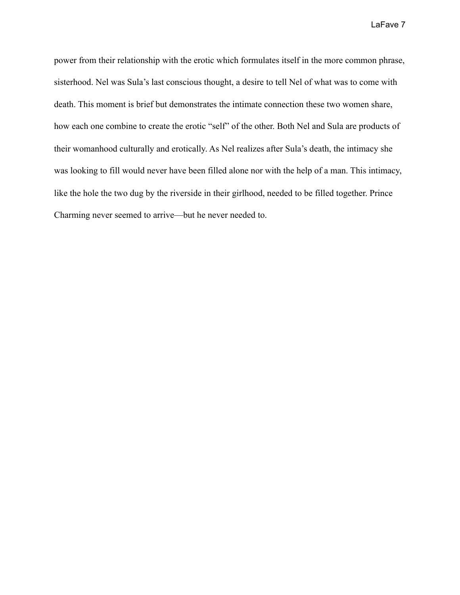power from their relationship with the erotic which formulates itself in the more common phrase, sisterhood. Nel was Sula's last conscious thought, a desire to tell Nel of what was to come with death. This moment is brief but demonstrates the intimate connection these two women share, how each one combine to create the erotic "self" of the other. Both Nel and Sula are products of their womanhood culturally and erotically. As Nel realizes after Sula's death, the intimacy she was looking to fill would never have been filled alone nor with the help of a man. This intimacy, like the hole the two dug by the riverside in their girlhood, needed to be filled together. Prince Charming never seemed to arrive—but he never needed to.